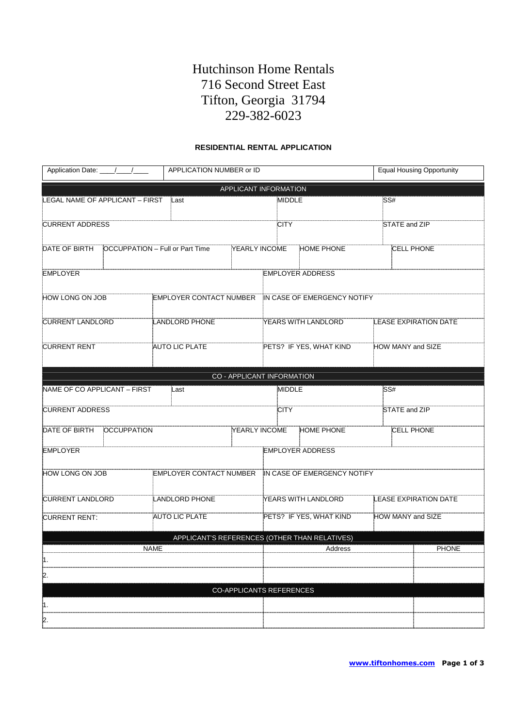# Hutchinson Home Rentals 716 Second Street East Tifton, Georgia 31794 229-382-6023

### **RESIDENTIAL RENTAL APPLICATION**

| Application Date: /////                    |                       |                                               | APPLICATION NUMBER or ID |                                 |                             | <b>Equal Housing Opportunity</b> |                              |  |
|--------------------------------------------|-----------------------|-----------------------------------------------|--------------------------|---------------------------------|-----------------------------|----------------------------------|------------------------------|--|
|                                            |                       |                                               |                          | APPLICANT INFORMATION           |                             |                                  |                              |  |
| LEGAL NAME OF APPLICANT - FIRST<br>Last    |                       |                                               | MIDDLE                   |                                 |                             | SS#                              |                              |  |
| <b>CURRENT ADDRESS</b>                     |                       |                                               |                          | <b>CITY</b>                     |                             |                                  | STATE and ZIP                |  |
| DATE OF BIRTH                              |                       | <b>OCCUPPATION - Full or Part Time</b>        | YEARLY INCOME            |                                 | <b>HOME PHONE</b>           |                                  | <b>CELL PHONE</b>            |  |
| <b>EMPLOYER</b>                            |                       |                                               |                          |                                 | <b>EMPLOYER ADDRESS</b>     |                                  |                              |  |
| HOW LONG ON JOB<br>EMPLOYER CONTACT NUMBER |                       |                                               |                          | IN CASE OF EMERGENCY NOTIFY     |                             |                                  |                              |  |
| <b>CURRENT LANDLORD</b>                    |                       | LANDLORD PHONE                                |                          |                                 | YEARS WITH LANDLORD         |                                  | <b>LEASE EXPIRATION DATE</b> |  |
| <b>CURRENT RENT</b>                        |                       | AUTO LIC PLATE                                |                          |                                 | PETS? IF YES, WHAT KIND     |                                  | HOW MANY and SIZE            |  |
|                                            |                       |                                               |                          | CO - APPLICANT INFORMATION      |                             |                                  |                              |  |
| NAME OF CO APPLICANT - FIRST               |                       | Last                                          |                          | <b>MIDDLE</b>                   |                             |                                  | SS#                          |  |
| <b>CURRENT ADDRESS</b>                     |                       |                                               |                          | <b>CITY</b>                     |                             |                                  | STATE and ZIP                |  |
| DATE OF BIRTH                              | <b>OCCUPPATION</b>    |                                               | YEARLY INCOME            |                                 | <b>HOME PHONE</b>           |                                  | <b>CELL PHONE</b>            |  |
| <b>EMPLOYER</b>                            |                       |                                               |                          |                                 | <b>EMPLOYER ADDRESS</b>     |                                  |                              |  |
| HOW LONG ON JOB                            |                       | EMPLOYER CONTACT NUMBER                       |                          |                                 | IN CASE OF EMERGENCY NOTIFY |                                  |                              |  |
| <b>CURRENT LANDLORD</b>                    |                       | <b>LANDLORD PHONE</b>                         |                          |                                 | YEARS WITH LANDLORD         |                                  | <b>LEASE EXPIRATION DATE</b> |  |
| <b>CURRENT RENT:</b>                       | <b>AUTO LIC PLATE</b> |                                               |                          | PETS? IF YES, WHAT KIND         |                             | HOW MANY and SIZE                |                              |  |
|                                            |                       | APPLICANT'S REFERENCES (OTHER THAN RELATIVES) |                          |                                 |                             |                                  |                              |  |
|                                            |                       | <b>NAME</b>                                   |                          |                                 | Address                     |                                  | <b>PHONE</b>                 |  |
| 11.                                        |                       |                                               |                          |                                 |                             |                                  |                              |  |
| 12.                                        |                       |                                               |                          |                                 |                             |                                  |                              |  |
|                                            |                       |                                               |                          | <b>CO-APPLICANTS REFERENCES</b> |                             |                                  |                              |  |
| 1.                                         |                       |                                               |                          |                                 |                             |                                  |                              |  |
| 2.                                         |                       |                                               |                          |                                 |                             |                                  |                              |  |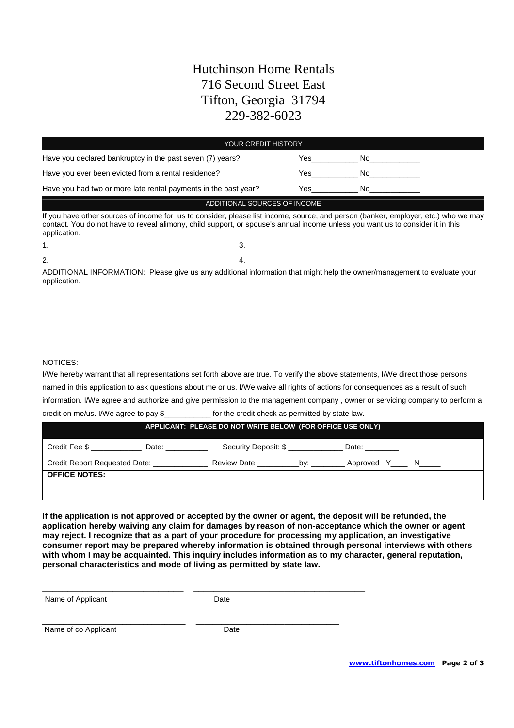## Hutchinson Home Rentals 716 Second Street East Tifton, Georgia 31794 229-382-6023

| <b>YOUR CREDIT HISTORY</b>                                                                                                                                                                                                                                                           |  |     |                                                                                                                                                                                                                                |  |
|--------------------------------------------------------------------------------------------------------------------------------------------------------------------------------------------------------------------------------------------------------------------------------------|--|-----|--------------------------------------------------------------------------------------------------------------------------------------------------------------------------------------------------------------------------------|--|
| Have you declared bankruptcy in the past seven (7) years?                                                                                                                                                                                                                            |  | Yes | No control of the North State of the North State of the North State of the North State of the North State of the North State of the North State of the North State of the North State of the North State of the North State of |  |
| Have you ever been evicted from a rental residence?                                                                                                                                                                                                                                  |  | Yes | No.                                                                                                                                                                                                                            |  |
| Have you had two or more late rental payments in the past year?                                                                                                                                                                                                                      |  | Yes | No control de la contradición de la contradición de la contradición de la contradición de la contradición de l                                                                                                                 |  |
| ADDITIONAL SOURCES OF INCOME                                                                                                                                                                                                                                                         |  |     |                                                                                                                                                                                                                                |  |
| If you have other sources of income for us to consider, please list income, source, and person (banker, employer, etc.) who we may<br>contact. You do not have to reveal alimony, child support, or spouse's annual income unless you want us to consider it in this<br>application. |  |     |                                                                                                                                                                                                                                |  |
| 1.                                                                                                                                                                                                                                                                                   |  |     |                                                                                                                                                                                                                                |  |

 $2.$  4.

ADDITIONAL INFORMATION: Please give us any additional information that might help the owner/management to evaluate your application.

### NOTICES:

I/We hereby warrant that all representations set forth above are true. To verify the above statements, I/We direct those persons named in this application to ask questions about me or us. I/We waive all rights of actions for consequences as a result of such information. I/We agree and authorize and give permission to the management company , owner or servicing company to perform a credit on me/us. I/We agree to pay \$\_\_\_\_\_\_\_\_\_\_\_ for the credit check as permitted by state law.

| APPLICANT: PLEASE DO NOT WRITE BELOW (FOR OFFICE USE ONLY) |       |                      |     |          |  |
|------------------------------------------------------------|-------|----------------------|-----|----------|--|
| Credit Fee \$                                              | Date: | Security Deposit: \$ |     | Date:    |  |
| <b>Credit Report Requested Date:</b>                       |       | <b>Review Date</b>   | bv: | Approved |  |
| <b>OFFICE NOTES:</b>                                       |       |                      |     |          |  |

**If the application is not approved or accepted by the owner or agent, the deposit will be refunded, the application hereby waiving any claim for damages by reason of non-acceptance which the owner or agent may reject. I recognize that as a part of your procedure for processing my application, an investigative consumer report may be prepared whereby information is obtained through personal interviews with others with whom I may be acquainted. This inquiry includes information as to my character, general reputation, personal characteristics and mode of living as permitted by state law.**

| Name of Applicant | Date |
|-------------------|------|
|-------------------|------|

\_\_\_\_\_\_\_\_\_\_\_\_\_\_\_\_\_\_\_\_\_\_\_\_\_\_\_\_ \_\_\_\_\_\_\_\_\_\_\_\_\_\_\_\_\_\_\_\_\_\_\_\_\_\_\_\_\_\_\_\_\_\_

\_\_\_\_\_\_\_\_\_\_\_\_\_\_\_\_\_\_\_\_\_\_\_\_\_\_\_\_\_\_\_\_\_\_ \_\_\_\_\_\_\_\_\_\_\_\_\_\_\_\_\_\_\_\_\_\_\_\_\_\_\_\_\_\_\_\_\_\_

Name of co Applicant Date